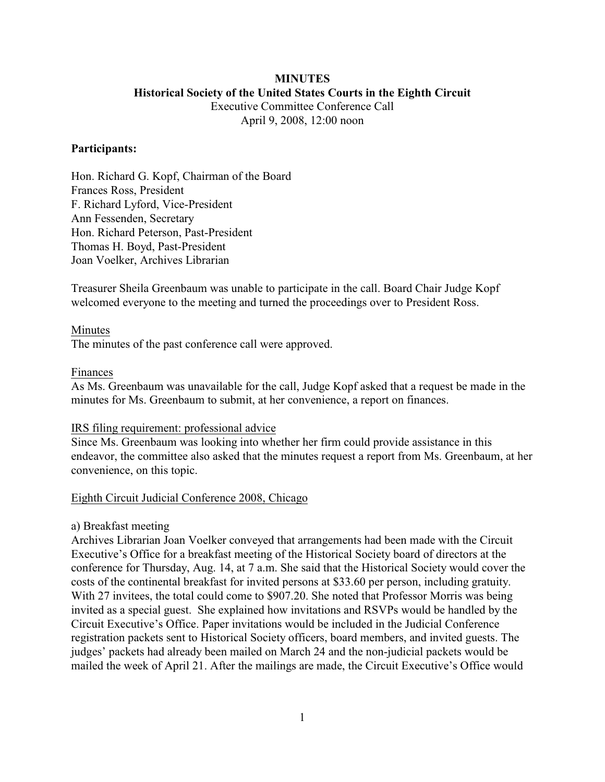## **MINUTES Historical Society of the United States Courts in the Eighth Circuit** Executive Committee Conference Call

April 9, 2008, 12:00 noon

## **Participants:**

Hon. Richard G. Kopf, Chairman of the Board Frances Ross, President F. Richard Lyford, Vice-President Ann Fessenden, Secretary Hon. Richard Peterson, Past-President Thomas H. Boyd, Past-President Joan Voelker, Archives Librarian

Treasurer Sheila Greenbaum was unable to participate in the call. Board Chair Judge Kopf welcomed everyone to the meeting and turned the proceedings over to President Ross.

# Minutes

The minutes of the past conference call were approved.

### Finances

As Ms. Greenbaum was unavailable for the call, Judge Kopf asked that a request be made in the minutes for Ms. Greenbaum to submit, at her convenience, a report on finances.

### IRS filing requirement: professional advice

Since Ms. Greenbaum was looking into whether her firm could provide assistance in this endeavor, the committee also asked that the minutes request a report from Ms. Greenbaum, at her convenience, on this topic.

### Eighth Circuit Judicial Conference 2008, Chicago

# a) Breakfast meeting

Archives Librarian Joan Voelker conveyed that arrangements had been made with the Circuit Executive's Office for a breakfast meeting of the Historical Society board of directors at the conference for Thursday, Aug. 14, at 7 a.m. She said that the Historical Society would cover the costs of the continental breakfast for invited persons at \$33.60 per person, including gratuity. With 27 invitees, the total could come to \$907.20. She noted that Professor Morris was being invited as a special guest. She explained how invitations and RSVPs would be handled by the Circuit Executive's Office. Paper invitations would be included in the Judicial Conference registration packets sent to Historical Society officers, board members, and invited guests. The judges' packets had already been mailed on March 24 and the non-judicial packets would be mailed the week of April 21. After the mailings are made, the Circuit Executive's Office would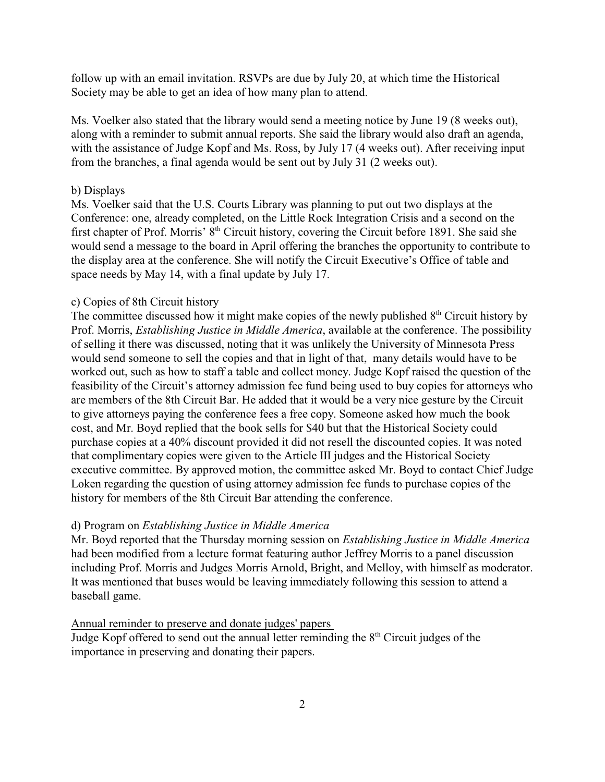follow up with an email invitation. RSVPs are due by July 20, at which time the Historical Society may be able to get an idea of how many plan to attend.

Ms. Voelker also stated that the library would send a meeting notice by June 19 (8 weeks out), along with a reminder to submit annual reports. She said the library would also draft an agenda, with the assistance of Judge Kopf and Ms. Ross, by July 17 (4 weeks out). After receiving input from the branches, a final agenda would be sent out by July 31 (2 weeks out).

#### b) Displays

Ms. Voelker said that the U.S. Courts Library was planning to put out two displays at the Conference: one, already completed, on the Little Rock Integration Crisis and a second on the first chapter of Prof. Morris'  $\hat{8}^{th}$  Circuit history, covering the Circuit before 1891. She said she would send a message to the board in April offering the branches the opportunity to contribute to the display area at the conference. She will notify the Circuit Executive's Office of table and space needs by May 14, with a final update by July 17.

#### c) Copies of 8th Circuit history

The committee discussed how it might make copies of the newly published  $8<sup>th</sup>$  Circuit history by Prof. Morris, *Establishing Justice in Middle America*, available at the conference. The possibility of selling it there was discussed, noting that it was unlikely the University of Minnesota Press would send someone to sell the copies and that in light of that, many details would have to be worked out, such as how to staff a table and collect money. Judge Kopf raised the question of the feasibility of the Circuit's attorney admission fee fund being used to buy copies for attorneys who are members of the 8th Circuit Bar. He added that it would be a very nice gesture by the Circuit to give attorneys paying the conference fees a free copy. Someone asked how much the book cost, and Mr. Boyd replied that the book sells for \$40 but that the Historical Society could purchase copies at a 40% discount provided it did not resell the discounted copies. It was noted that complimentary copies were given to the Article III judges and the Historical Society executive committee. By approved motion, the committee asked Mr. Boyd to contact Chief Judge Loken regarding the question of using attorney admission fee funds to purchase copies of the history for members of the 8th Circuit Bar attending the conference.

### d) Program on *Establishing Justice in Middle America*

Mr. Boyd reported that the Thursday morning session on *Establishing Justice in Middle America* had been modified from a lecture format featuring author Jeffrey Morris to a panel discussion including Prof. Morris and Judges Morris Arnold, Bright, and Melloy, with himself as moderator. It was mentioned that buses would be leaving immediately following this session to attend a baseball game.

Annual reminder to preserve and donate judges' papers

Judge Kopf offered to send out the annual letter reminding the  $8<sup>th</sup>$  Circuit judges of the importance in preserving and donating their papers.